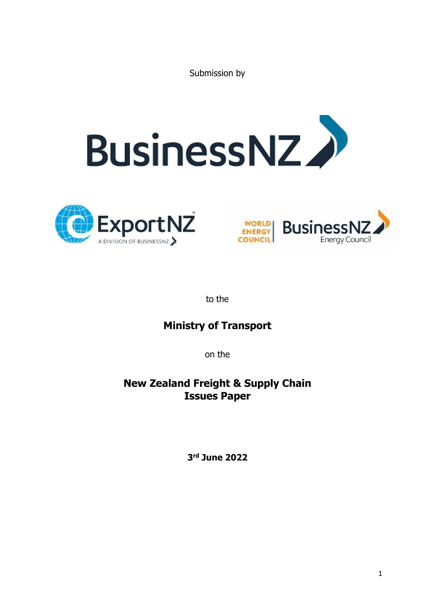Submission by







to the

# **Ministry of Transport**

on the

## **New Zealand Freight & Supply Chain Issues Paper**

**3 rd June 2022**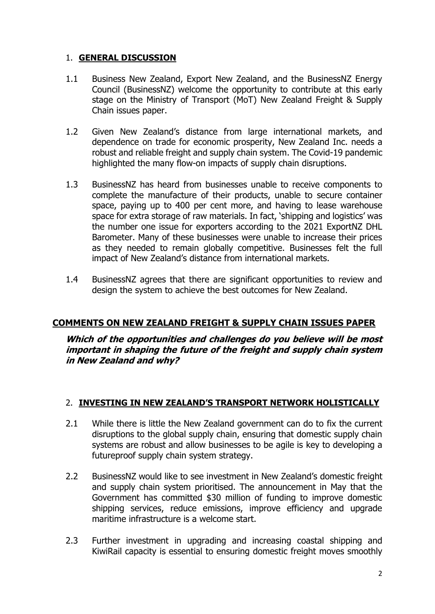#### 1. **GENERAL DISCUSSION**

- 1.1 Business New Zealand, Export New Zealand, and the BusinessNZ Energy Council (BusinessNZ) welcome the opportunity to contribute at this early stage on the Ministry of Transport (MoT) New Zealand Freight & Supply Chain issues paper.
- 1.2 Given New Zealand's distance from large international markets, and dependence on trade for economic prosperity, New Zealand Inc. needs a robust and reliable freight and supply chain system. The Covid-19 pandemic highlighted the many flow-on impacts of supply chain disruptions.
- 1.3 BusinessNZ has heard from businesses unable to receive components to complete the manufacture of their products, unable to secure container space, paying up to 400 per cent more, and having to lease warehouse space for extra storage of raw materials. In fact, 'shipping and logistics' was the number one issue for exporters according to the 2021 ExportNZ DHL Barometer. Many of these businesses were unable to increase their prices as they needed to remain globally competitive. Businesses felt the full impact of New Zealand's distance from international markets.
- 1.4 BusinessNZ agrees that there are significant opportunities to review and design the system to achieve the best outcomes for New Zealand.

#### **COMMENTS ON NEW ZEALAND FREIGHT & SUPPLY CHAIN ISSUES PAPER**

**Which of the opportunities and challenges do you believe will be most important in shaping the future of the freight and supply chain system in New Zealand and why?**

#### 2. **INVESTING IN NEW ZEALAND'S TRANSPORT NETWORK HOLISTICALLY**

- 2.1 While there is little the New Zealand government can do to fix the current disruptions to the global supply chain, ensuring that domestic supply chain systems are robust and allow businesses to be agile is key to developing a futureproof supply chain system strategy.
- 2.2 BusinessNZ would like to see investment in New Zealand's domestic freight and supply chain system prioritised. The announcement in May that the Government has committed \$30 million of funding to improve domestic shipping services, reduce emissions, improve efficiency and upgrade maritime infrastructure is a welcome start.
- 2.3 Further investment in upgrading and increasing coastal shipping and KiwiRail capacity is essential to ensuring domestic freight moves smoothly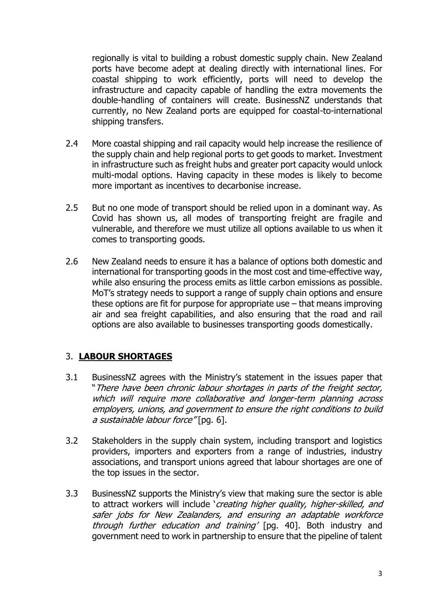regionally is vital to building a robust domestic supply chain. New Zealand ports have become adept at dealing directly with international lines. For coastal shipping to work efficiently, ports will need to develop the infrastructure and capacity capable of handling the extra movements the double-handling of containers will create. BusinessNZ understands that currently, no New Zealand ports are equipped for coastal-to-international shipping transfers.

- 2.4 More coastal shipping and rail capacity would help increase the resilience of the supply chain and help regional ports to get goods to market. Investment in infrastructure such as freight hubs and greater port capacity would unlock multi-modal options. Having capacity in these modes is likely to become more important as incentives to decarbonise increase.
- 2.5 But no one mode of transport should be relied upon in a dominant way. As Covid has shown us, all modes of transporting freight are fragile and vulnerable, and therefore we must utilize all options available to us when it comes to transporting goods.
- 2.6 New Zealand needs to ensure it has a balance of options both domestic and international for transporting goods in the most cost and time-effective way, while also ensuring the process emits as little carbon emissions as possible. MoT's strategy needs to support a range of supply chain options and ensure these options are fit for purpose for appropriate use – that means improving air and sea freight capabilities, and also ensuring that the road and rail options are also available to businesses transporting goods domestically.

#### 3. **LABOUR SHORTAGES**

- 3.1 BusinessNZ agrees with the Ministry's statement in the issues paper that "There have been chronic labour shortages in parts of the freight sector, which will require more collaborative and longer-term planning across employers, unions, and government to ensure the right conditions to build a sustainable labour force" [pq. 6].
- 3.2 Stakeholders in the supply chain system, including transport and logistics providers, importers and exporters from a range of industries, industry associations, and transport unions agreed that labour shortages are one of the top issues in the sector.
- 3.3 BusinessNZ supports the Ministry's view that making sure the sector is able to attract workers will include 'creating higher quality, higher-skilled, and safer jobs for New Zealanders, and ensuring an adaptable workforce through further education and training' [pg. 40]. Both industry and government need to work in partnership to ensure that the pipeline of talent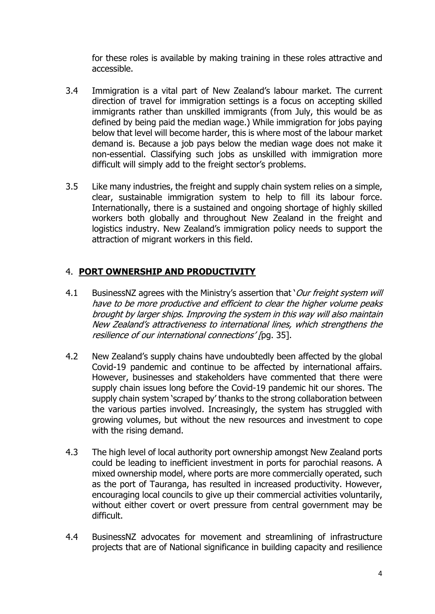for these roles is available by making training in these roles attractive and accessible.

- 3.4 Immigration is a vital part of New Zealand's labour market. The current direction of travel for immigration settings is a focus on accepting skilled immigrants rather than unskilled immigrants (from July, this would be as defined by being paid the median wage.) While immigration for jobs paying below that level will become harder, this is where most of the labour market demand is. Because a job pays below the median wage does not make it non-essential. Classifying such jobs as unskilled with immigration more difficult will simply add to the freight sector's problems.
- 3.5 Like many industries, the freight and supply chain system relies on a simple, clear, sustainable immigration system to help to fill its labour force. Internationally, there is a sustained and ongoing shortage of highly skilled workers both globally and throughout New Zealand in the freight and logistics industry. New Zealand's immigration policy needs to support the attraction of migrant workers in this field.

#### 4. **PORT OWNERSHIP AND PRODUCTIVITY**

- 4.1 BusinessNZ agrees with the Ministry's assertion that '*Our freight system will* have to be more productive and efficient to clear the higher volume peaks brought by larger ships. Improving the system in this way will also maintain New Zealand's attractiveness to international lines, which strengthens the resilience of our international connections' [pq. 35].
- 4.2 New Zealand's supply chains have undoubtedly been affected by the global Covid-19 pandemic and continue to be affected by international affairs. However, businesses and stakeholders have commented that there were supply chain issues long before the Covid-19 pandemic hit our shores. The supply chain system 'scraped by' thanks to the strong collaboration between the various parties involved. Increasingly, the system has struggled with growing volumes, but without the new resources and investment to cope with the rising demand.
- 4.3 The high level of local authority port ownership amongst New Zealand ports could be leading to inefficient investment in ports for parochial reasons. A mixed ownership model, where ports are more commercially operated, such as the port of Tauranga, has resulted in increased productivity. However, encouraging local councils to give up their commercial activities voluntarily, without either covert or overt pressure from central government may be difficult.
- 4.4 BusinessNZ advocates for movement and streamlining of infrastructure projects that are of National significance in building capacity and resilience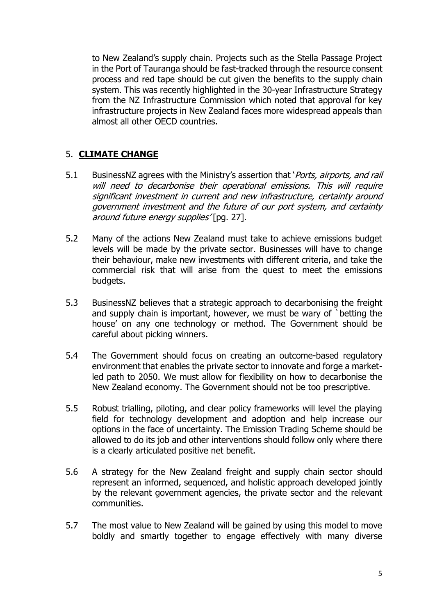to New Zealand's supply chain. Projects such as the Stella Passage Project in the Port of Tauranga should be fast-tracked through the resource consent process and red tape should be cut given the benefits to the supply chain system. This was recently highlighted in the 30-year Infrastructure Strategy from the NZ Infrastructure Commission which noted that approval for key infrastructure projects in New Zealand faces more widespread appeals than almost all other OECD countries.

#### 5. **CLIMATE CHANGE**

- 5.1 BusinessNZ agrees with the Ministry's assertion that *`Ports, airports, and rail* will need to decarbonise their operational emissions. This will require significant investment in current and new infrastructure, certainty around government investment and the future of our port system, and certainty around future energy supplies' [pq. 27].
- 5.2 Many of the actions New Zealand must take to achieve emissions budget levels will be made by the private sector. Businesses will have to change their behaviour, make new investments with different criteria, and take the commercial risk that will arise from the quest to meet the emissions budgets.
- 5.3 BusinessNZ believes that a strategic approach to decarbonising the freight and supply chain is important, however, we must be wary of `betting the house' on any one technology or method. The Government should be careful about picking winners.
- 5.4 The Government should focus on creating an outcome-based regulatory environment that enables the private sector to innovate and forge a marketled path to 2050. We must allow for flexibility on how to decarbonise the New Zealand economy. The Government should not be too prescriptive.
- 5.5 Robust trialling, piloting, and clear policy frameworks will level the playing field for technology development and adoption and help increase our options in the face of uncertainty. The Emission Trading Scheme should be allowed to do its job and other interventions should follow only where there is a clearly articulated positive net benefit.
- 5.6 A strategy for the New Zealand freight and supply chain sector should represent an informed, sequenced, and holistic approach developed jointly by the relevant government agencies, the private sector and the relevant communities.
- 5.7 The most value to New Zealand will be gained by using this model to move boldly and smartly together to engage effectively with many diverse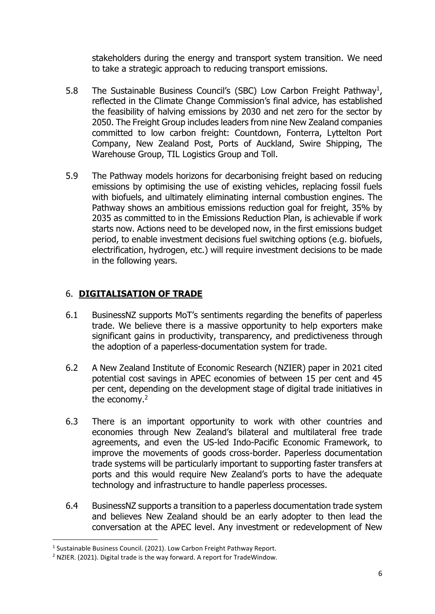stakeholders during the energy and transport system transition. We need to take a strategic approach to reducing transport emissions.

- 5.8 The Sustainable Business Council's (SBC) Low Carbon Freight Pathway<sup>1</sup>, reflected in the Climate Change Commission's final advice, has established the feasibility of halving emissions by 2030 and net zero for the sector by 2050. The Freight Group includes leaders from nine New Zealand companies committed to low carbon freight: Countdown, Fonterra, Lyttelton Port Company, New Zealand Post, Ports of Auckland, Swire Shipping, The Warehouse Group, TIL Logistics Group and Toll.
- 5.9 The Pathway models horizons for decarbonising freight based on reducing emissions by optimising the use of existing vehicles, replacing fossil fuels with biofuels, and ultimately eliminating internal combustion engines. The Pathway shows an ambitious emissions reduction goal for freight, 35% by 2035 as committed to in the Emissions Reduction Plan, is achievable if work starts now. Actions need to be developed now, in the first emissions budget period, to enable investment decisions fuel switching options (e.g. biofuels, electrification, hydrogen, etc.) will require investment decisions to be made in the following years.

## 6. **DIGITALISATION OF TRADE**

- 6.1 BusinessNZ supports MoT's sentiments regarding the benefits of paperless trade. We believe there is a massive opportunity to help exporters make significant gains in productivity, transparency, and predictiveness through the adoption of a paperless-documentation system for trade.
- 6.2 A New Zealand Institute of Economic Research (NZIER) paper in 2021 cited potential cost savings in APEC economies of between 15 per cent and 45 per cent, depending on the development stage of digital trade initiatives in the economy.<sup>2</sup>
- 6.3 There is an important opportunity to work with other countries and economies through New Zealand's bilateral and multilateral free trade agreements, and even the US-led Indo-Pacific Economic Framework, to improve the movements of goods cross-border. Paperless documentation trade systems will be particularly important to supporting faster transfers at ports and this would require New Zealand's ports to have the adequate technology and infrastructure to handle paperless processes.
- 6.4 BusinessNZ supports a transition to a paperless documentation trade system and believes New Zealand should be an early adopter to then lead the conversation at the APEC level. Any investment or redevelopment of New

<sup>&</sup>lt;sup>1</sup> Sustainable Business Council. (2021). Low Carbon Freight Pathway Report.

<sup>&</sup>lt;sup>2</sup> NZIER. (2021). Digital trade is the way forward. A report for TradeWindow.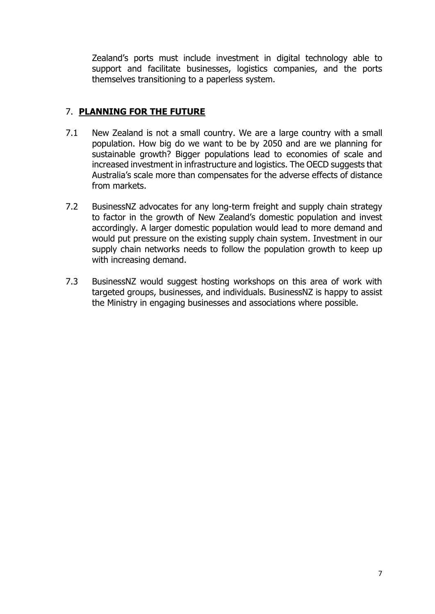Zealand's ports must include investment in digital technology able to support and facilitate businesses, logistics companies, and the ports themselves transitioning to a paperless system.

### 7. **PLANNING FOR THE FUTURE**

- 7.1 New Zealand is not a small country. We are a large country with a small population. How big do we want to be by 2050 and are we planning for sustainable growth? Bigger populations lead to economies of scale and increased investment in infrastructure and logistics. The OECD suggests that Australia's scale more than compensates for the adverse effects of distance from markets.
- 7.2 BusinessNZ advocates for any long-term freight and supply chain strategy to factor in the growth of New Zealand's domestic population and invest accordingly. A larger domestic population would lead to more demand and would put pressure on the existing supply chain system. Investment in our supply chain networks needs to follow the population growth to keep up with increasing demand.
- 7.3 BusinessNZ would suggest hosting workshops on this area of work with targeted groups, businesses, and individuals. BusinessNZ is happy to assist the Ministry in engaging businesses and associations where possible.